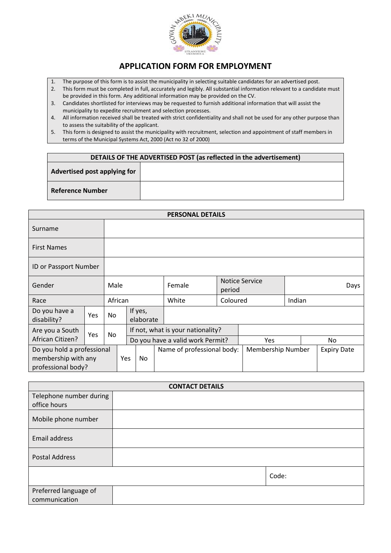

## **APPLICATION FORM FOR EMPLOYMENT**

- 1. The purpose of this form is to assist the municipality in selecting suitable candidates for an advertised post.
- 2. This form must be completed in full, accurately and legibly. All substantial information relevant to a candidate must be provided in this form. Any additional information may be provided on the CV.
- 3. Candidates shortlisted for interviews may be requested to furnish additional information that will assist the municipality to expedite recruitment and selection processes.
- 4. All information received shall be treated with strict confidentiality and shall not be used for any other purpose than to assess the suitability of the applicant.
- 5. This form is designed to assist the municipality with recruitment, selection and appointment of staff members in terms of the Municipal Systems Act, 2000 (Act no 32 of 2000)

## **DETAILS OF THE ADVERTISED POST (as reflected in the advertisement)**

| Advertised post applying for |  |
|------------------------------|--|
| <b>Reference Number</b>      |  |

|                                                                         |     |         |            |                                  |                                   | <b>PERSONAL DETAILS</b>    |        |                   |    |  |                    |
|-------------------------------------------------------------------------|-----|---------|------------|----------------------------------|-----------------------------------|----------------------------|--------|-------------------|----|--|--------------------|
| Surname                                                                 |     |         |            |                                  |                                   |                            |        |                   |    |  |                    |
| <b>First Names</b>                                                      |     |         |            |                                  |                                   |                            |        |                   |    |  |                    |
| ID or Passport Number                                                   |     |         |            |                                  |                                   |                            |        |                   |    |  |                    |
| Gender                                                                  |     |         | Male       |                                  | Female                            | Notice Service<br>period   |        | Days              |    |  |                    |
| Race                                                                    |     | African |            | White                            | Coloured                          |                            | Indian |                   |    |  |                    |
| Do you have a<br>disability?                                            | Yes | No      |            | If yes,<br>elaborate             |                                   |                            |        |                   |    |  |                    |
| Are you a South                                                         | Yes | No      |            |                                  | If not, what is your nationality? |                            |        |                   |    |  |                    |
| African Citizen?                                                        |     |         |            | Do you have a valid work Permit? |                                   | <b>Yes</b>                 |        |                   | No |  |                    |
| Do you hold a professional<br>membership with any<br>professional body? |     |         | Yes<br>No. |                                  |                                   | Name of professional body: |        | Membership Number |    |  | <b>Expiry Date</b> |

|                                         | <b>CONTACT DETAILS</b> |       |
|-----------------------------------------|------------------------|-------|
| Telephone number during<br>office hours |                        |       |
| Mobile phone number                     |                        |       |
| Email address                           |                        |       |
| <b>Postal Address</b>                   |                        |       |
|                                         |                        | Code: |
| Preferred language of<br>communication  |                        |       |